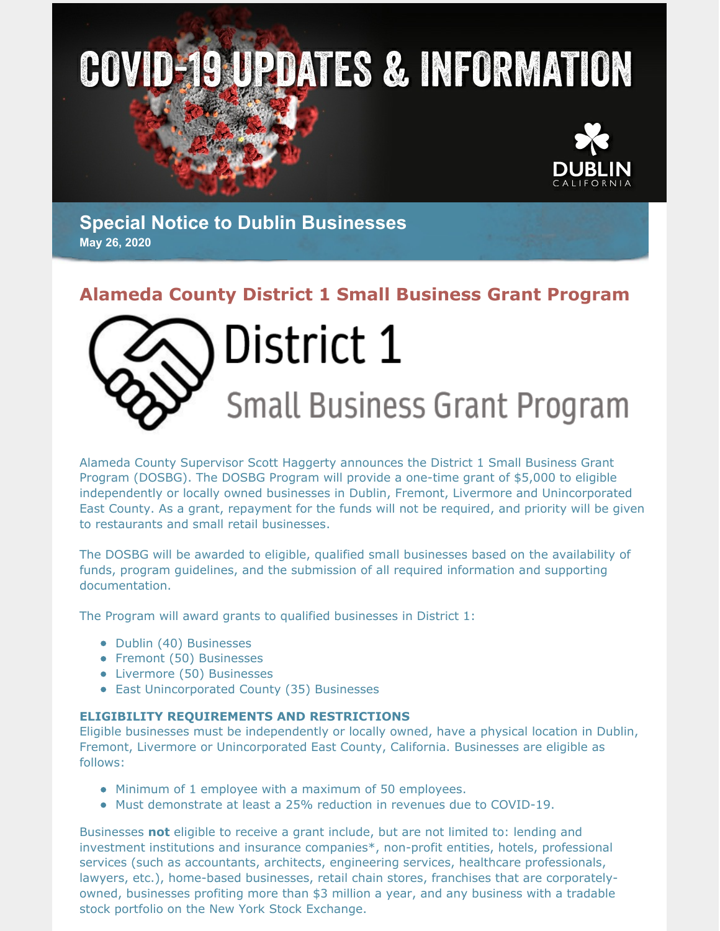# **COVID-19 UPDATES & INFORMATION**



**Special Notice to Dublin Businesses May 26, 2020**

## **Alameda County District 1 Small Business Grant Program**



Alameda County Supervisor Scott Haggerty announces the District 1 Small Business Grant Program (DOSBG). The DOSBG Program will provide a one-time grant of \$5,000 to eligible independently or locally owned businesses in Dublin, Fremont, Livermore and Unincorporated East County. As a grant, repayment for the funds will not be required, and priority will be given to restaurants and small retail businesses.

The DOSBG will be awarded to eligible, qualified small businesses based on the availability of funds, program guidelines, and the submission of all required information and supporting documentation.

The Program will award grants to qualified businesses in District 1:

- Dublin (40) Businesses
- Fremont (50) Businesses
- Livermore (50) Businesses
- East Unincorporated County (35) Businesses

#### **ELIGIBILITY REQUIREMENTS AND RESTRICTIONS**

Eligible businesses must be independently or locally owned, have a physical location in Dublin, Fremont, Livermore or Unincorporated East County, California. Businesses are eligible as follows:

- Minimum of 1 employee with a maximum of 50 employees.
- Must demonstrate at least a 25% reduction in revenues due to COVID-19.

Businesses **not** eligible to receive a grant include, but are not limited to: lending and investment institutions and insurance companies\*, non-profit entities, hotels, professional services (such as accountants, architects, engineering services, healthcare professionals, lawyers, etc.), home-based businesses, retail chain stores, franchises that are corporatelyowned, businesses profiting more than \$3 million a year, and any business with a tradable stock portfolio on the New York Stock Exchange.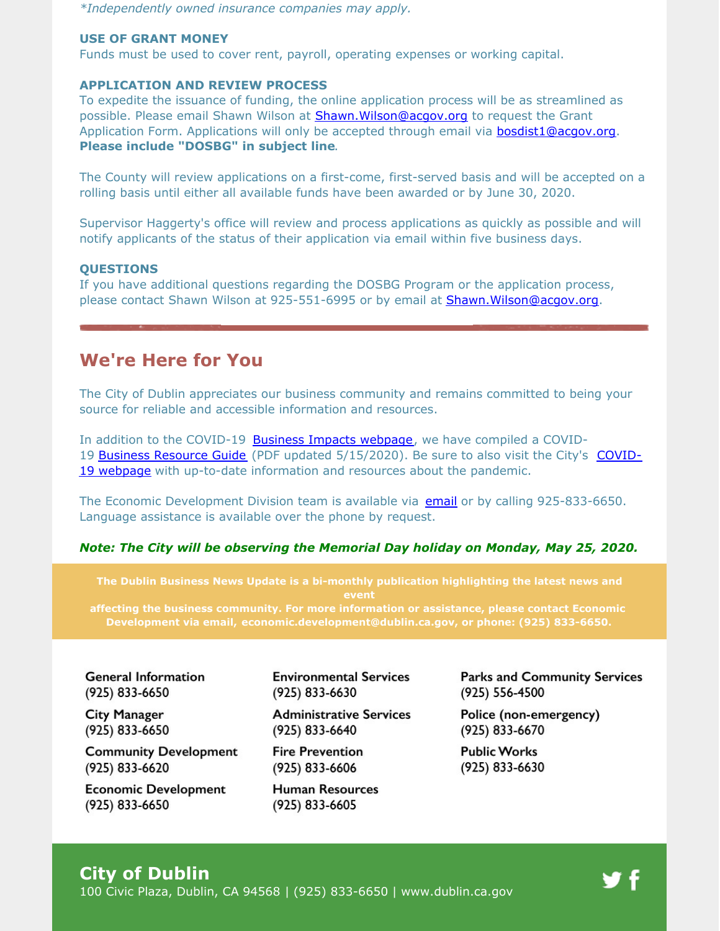*\*Independently owned insurance companies may apply.*

#### **USE OF GRANT MONEY**

Funds must be used to cover rent, payroll, operating expenses or working capital.

#### **APPLICATION AND REVIEW PROCESS**

To expedite the issuance of funding, the online application process will be as streamlined as possible. Please email Shawn Wilson at **[Shawn.Wilson@acgov.org](mailto:Shawn.Wilson@acgov.org)** to request the Grant Application Form. Applications will only be accepted through email via **[bosdist1@acgov.org](mailto:bosdist1@acgov.org). Please include "DOSBG" in subject line**.

The County will review applications on a first-come, first-served basis and will be accepted on a rolling basis until either all available funds have been awarded or by June 30, 2020.

Supervisor Haggerty's office will review and process applications as quickly as possible and will notify applicants of the status of their application via email within five business days.

#### **QUESTIONS**

If you have additional questions regarding the DOSBG Program or the application process, please contact Shawn Wilson at 925-551-6995 or by email at [Shawn.Wilson@acgov.org](mailto:Shawn.Wilson@acgov.org).

## **We're Here for You**

The City of Dublin appreciates our business community and remains committed to being your source for reliable and accessible information and resources.

In addition to the COVID-19 Business Impacts [webpage](https://www.dublin.ca.gov/2177/COVID-19-Business-Impacts), we have compiled a COVID-19 Business [Resource](https://www.dublin.ca.gov/DocumentCenter/View/22168) Guide (PDF updated [5/15/2020\).](https://www.dublin.ca.gov/coronavirus) Be sure to also visit the City's COVID-19 webpage with up-to-date information and resources about the pandemic.

The Economic Development Division team is available via [email](mailto:economic.development@dublin.ca.gov) or by calling 925-833-6650. Language assistance is available over the phone by request.

#### *Note: The City will be observing the Memorial Day holiday on Monday, May 25, 2020.*

**The Dublin Business News Update is a bi-monthly publication highlighting the latest news and event**

**affecting the business community. For more information or assistance, please contact Economic Development via email, [economic.development@dublin.ca.gov](mailto:economic.development@dublin.ca.gov), or phone: (925) 833-6650.**

**General Information** (925) 833-6650

**City Manager** (925) 833-6650

**Community Development** (925) 833-6620

**Economic Development** (925) 833-6650

**Environmental Services** (925) 833-6630

**Administrative Services** (925) 833-6640

**Fire Prevention** (925) 833-6606

**Human Resources** (925) 833-6605

**Parks and Community Services** (925) 556-4500

Police (non-emergency) (925) 833-6670

**Public Works** (925) 833-6630

## **City of Dublin**

100 Civic Plaza, Dublin, CA 94568 | (925) 833-6650 | [www.dublin.ca.gov](http://www.dublin.ca.gov)